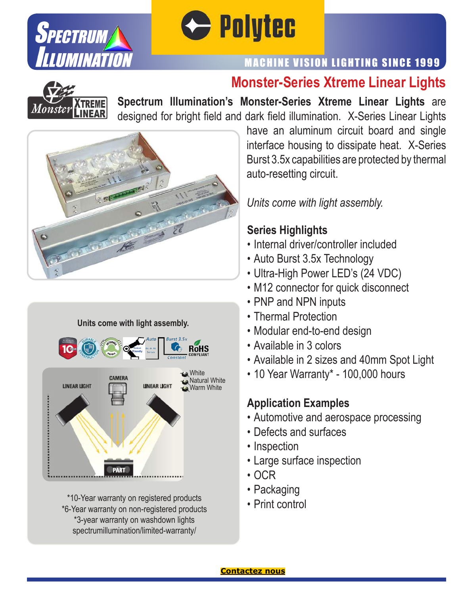

# **C** Polytec

# MACHINE VISION LIGHTING SINCE 1999

# **Monster-Series Xtreme Linear Lights**



**Spectrum Illumination's Monster-Series Xtreme Linear Lights** are designed for bright field and dark field illumination. X-Series Linear Lights





\*10-Year warranty on registered products \*6-Year warranty on non-registered products \*3-year warranty on washdown lights spectrumillumination/limited-warranty/

have an aluminum circuit board and single interface housing to dissipate heat. X-Series Burst 3.5x capabilities are protected by thermal auto-resetting circuit.

*Units come with light assembly.*

#### **Series Highlights**

- Internal driver/controller included
- Auto Burst 3.5x Technology
- Ultra-High Power LED's (24 VDC)
- M12 connector for quick disconnect
- PNP and NPN inputs
- Thermal Protection
- Modular end-to-end design
- Available in 3 colors
- Available in 2 sizes and 40mm Spot Light
- 10 Year Warranty\* 100,000 hours

### **Application Examples**

- Automotive and aerospace processing
- Defects and surfaces
- Inspection
- Large surface inspection
- OCR
- Packaging
- Print control

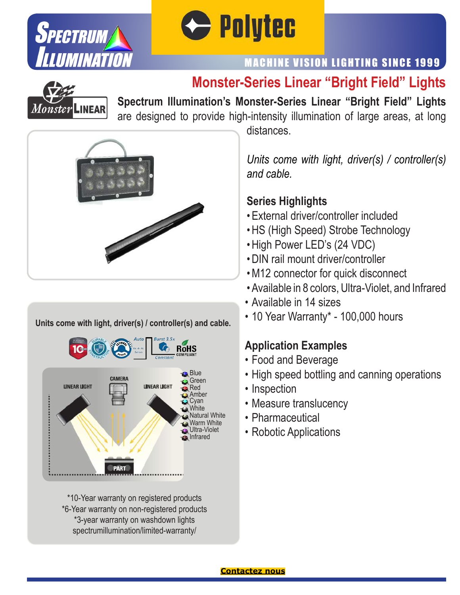



# MACHINE VISION LIGHTING SINCE 1999

# **Monster-Series Linear "Bright Field" Lights**



**Spectrum Illumination's Monster-Series Linear "Bright Field" Lights** are designed to provide high-intensity illumination of large areas, at long



#### **Units come with light, driver(s) / controller(s) and cable.**



\*10-Year warranty on registered products \*6-Year warranty on non-registered products \*3-year warranty on washdown lights spectrumillumination/limited-warranty/

distances.

*Units come with light, driver(s) / controller(s) and cable.*

#### **Series Highlights**

- External driver/controller included
- HS (High Speed) Strobe Technology
- High Power LED's (24 VDC)
- DIN rail mount driver/controller
- M12 connector for quick disconnect
- Available in 8 colors, Ultra-Violet, and Infrared
- Available in 14 sizes
- 10 Year Warranty\* 100,000 hours

#### **Application Examples**

- Food and Beverage
- High speed bottling and canning operations
- Inspection
- Measure translucency
- Pharmaceutical
- Robotic Applications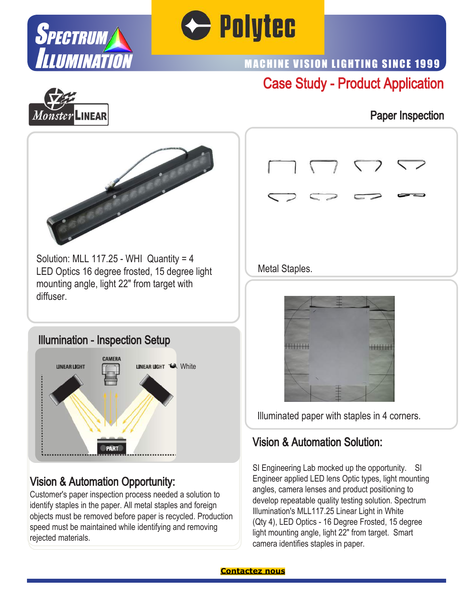



# Case Study - Product Application MACHINE VISION LIGHTING SINCE 1999

Paper Inspection





Solution: MLL 117.25 - WHI Quantity = 4 LED Optics 16 degree frosted, 15 degree light mounting angle, light 22" from target with diffuser.

#### Illumination - Inspection Setup



## Vision & Automation Opportunity:

Customer's paper inspection process needed a solution to identify staples in the paper. All metal staples and foreign objects must be removed before paper is recycled. Production speed must be maintained while identifying and removing rejected materials.





Illuminated paper with staples in 4 corners.

## Vision & Automation Solution:

SI Engineering Lab mocked up the opportunity. SI Engineer applied LED lens Optic types, light mounting angles, camera lenses and product positioning to develop repeatable quality testing solution. Spectrum Illumination's MLL117.25 Linear Light in White (Qty 4), LED Optics - 16 Degree Frosted, 15 degree light mounting angle, light 22" from target. Smart camera identifies staples in paper.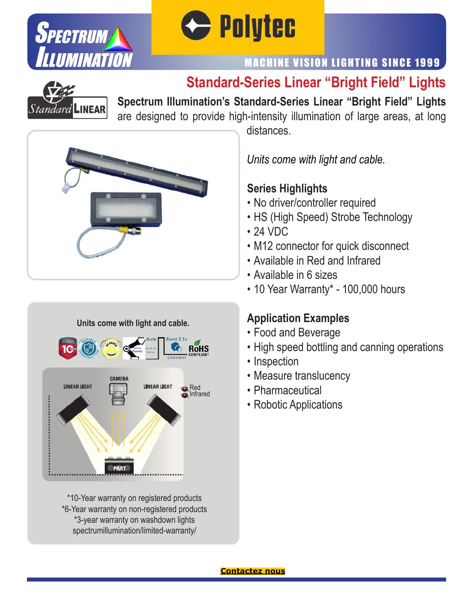



# MACHINE VISION LIGHTING SINCE 1999

# **Standard-Series Linear "Bright Field" Lights**



**Spectrum Illumination's Standard-Series Linear "Bright Field" Lights** are designed to provide high-intensity illumination of large areas, at long





\*10-Year warranty on registered products \*6-Year warranty on non-registered products \*3-year warranty on washdown lights spectrumillumination/limited-warranty/

distances.

*Units come with light and cable.*

#### **Series Highlights**

- No driver/controller required
- HS (High Speed) Strobe Technology
- 24 VDC
- M12 connector for quick disconnect
- Available in Red and Infrared
- Available in 6 sizes
- 10 Year Warranty\* 100,000 hours

# **Application Examples**

- Food and Beverage
- High speed bottling and canning operations
- Inspection
- Measure translucency
- Pharmaceutical
- Robotic Applications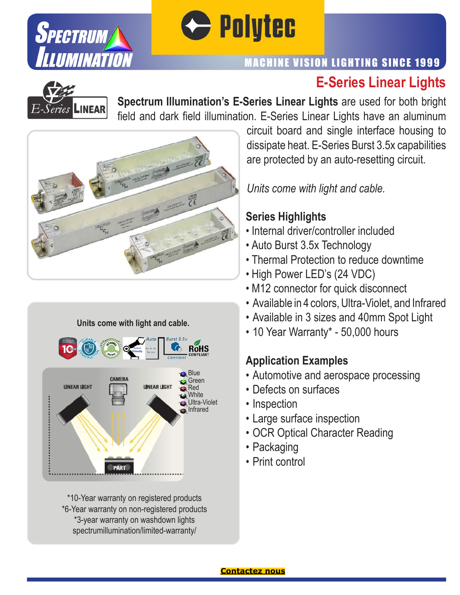



# **E-Series Linear Lights** MACHINE VISION LIGHTING SINCE 1999



**Spectrum Illumination's E-Series Linear Lights** are used for both bright field and dark field illumination. E-Series Linear Lights have an aluminum





\*10-Year warranty on registered products \*6-Year warranty on non-registered products \*3-year warranty on washdown lights spectrumillumination/limited-warranty/

circuit board and single interface housing to dissipate heat. E-Series Burst 3.5x capabilities are protected by an auto-resetting circuit.

*Units come with light and cable.*

### **Series Highlights**

- Internal driver/controller included
- Auto Burst 3.5x Technology
- Thermal Protection to reduce downtime
- High Power LED's (24 VDC)
- M12 connector for quick disconnect
- Available in 4 colors, Ultra-Violet, and Infrared
- Available in 3 sizes and 40mm Spot Light
- 10 Year Warranty\* 50,000 hours

## **Application Examples**

- Automotive and aerospace processing
- Defects on surfaces
- Inspection
- Large surface inspection
- OCR Optical Character Reading
- Packaging
- Print control